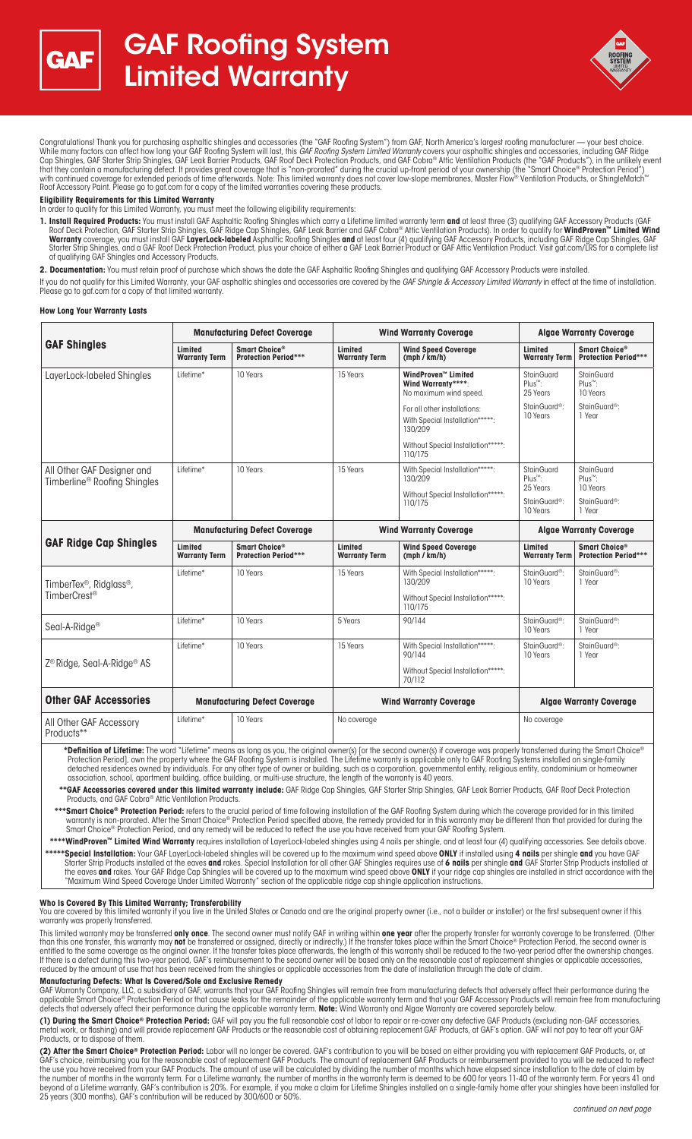



Congratulations! Thank you for purchasing asphaltic shingles and accessories (the "GAF Roofing System") from GAF, North America's largest roofing manufacturer — your best choice. While many factors can affect how long your GAF Roofing System will last, this *GAF Roofing System Limited Warranty* covers your asphaltic shingles and accessories, including GAF Ridge<br>Cap Shingles, GAF Starter Strip Shing that they contain a manufacturing defect. It provides great coverage that is "non-prorated" during the crucial up-front period of your ownership (the "Smart Choice® Protection Period") with continued coverage for extended periods of time afterwards. Note: This limited warranty does not cover low-slope membranes, Master Flow® Ventilation Products, or ShingleMatch™ Roof Accessory Paint. Please go to gaf.com for a copy of the limited warranties covering these products.

**Eligibility Requirements for this Limited Warranty**

In order to qualify for this Limited Warranty, you must meet the following eligibility requirements:

**1. Install Required Products:** You must install GAF Asphaltic Roofing Shingles which carry a Lifetime limited warranty term **and** at least three (3) qualifying GAF Accessory Products (GAF Roof Deck Protection, GAF Starter Strip Shingles, GAF Ridge Cap Shingles, GAF Leak Barrier and GAF Cobra® Attic Ventilation Products). In order to qualify for **WindProven™ Limited Wind Warranty** coverage, you must install GAF **LayerLock-labeled** Asphaltic Roofing Shingles **and** at least four (4) qualifying GAF Accessory Products, including GAF Ridge Cap Shingles, GAF Starter Strip Shingles, and a GAF Roof Deck Protection Product, plus your choice of either a GAF Leak Barrier Product or GAF Attic Ventilation Product. Visit gaf.com/LRS for a complete list of qualifying GAF Shingles and Accessory Products.

**2. Documentation:** You must retain proof of purchase which shows the date the GAF Asphaltic Roofing Shingles and qualifying GAF Accessory Products were installed.

If you do not qualify for this Limited Warranty, your GAF asphaltic shingles and accessories are covered by the *GAF Shingle & Accessory Limited Warranty* in effect at the time of installation. Please go to gaf.com for a copy of that limited warranty.

## **How Long Your Warranty Lasts**

| <b>GAF Shingles</b>                                                    | <b>Manufacturing Defect Coverage</b> |                                              | <b>Wind Warranty Coverage</b>   |                                                                            | <b>Algae Warranty Coverage</b>                |                                               |
|------------------------------------------------------------------------|--------------------------------------|----------------------------------------------|---------------------------------|----------------------------------------------------------------------------|-----------------------------------------------|-----------------------------------------------|
|                                                                        | Limited<br><b>Warranty Term</b>      | Smart Choice®<br><b>Protection Period***</b> | Limited<br><b>Warranty Term</b> | <b>Wind Speed Coverage</b><br>(mph / km/h)                                 | Limited<br><b>Warranty Term</b>               | Smart Choice®<br><b>Protection Period***</b>  |
| LayerLock-labeled Shingles                                             | Lifetime*                            | 10 Years                                     | 15 Years                        | <b>WindProven™ Limited</b><br>Wind Warranty****:<br>No maximum wind speed. | StainGuard<br>Plus <sup>™</sup> :<br>25 Years | StainGuard<br>Plus <sup>™</sup> :<br>10 Years |
|                                                                        |                                      |                                              |                                 | For all other installations:<br>With Special Installation*****:<br>130/209 | StainGuard <sup>®</sup> :<br>10 Years         | StainGuard <sup>®</sup> :<br>1 Year           |
|                                                                        |                                      |                                              |                                 | Without Special Installation*****:<br>110/175                              |                                               |                                               |
| All Other GAF Designer and<br>Timberline <sup>®</sup> Roofing Shingles | Lifetime*                            | 10 Years                                     | 15 Years                        | With Special Installation*****:<br>130/209                                 | StainGuard<br>Plus <sup>™</sup> :<br>25 Years | StainGuard<br>Plus <sup>™</sup> :<br>10 Years |
|                                                                        |                                      |                                              |                                 | Without Special Installation*****:<br>110/175                              | StainGuard <sup>®</sup> :<br>10 Years         | StainGuard <sup>®</sup> :<br>1 Year           |
| <b>GAF Ridge Cap Shingles</b>                                          | <b>Manufacturing Defect Coverage</b> |                                              | <b>Wind Warranty Coverage</b>   |                                                                            | <b>Algae Warranty Coverage</b>                |                                               |
|                                                                        | Limited<br><b>Warranty Term</b>      | Smart Choice®<br><b>Protection Period***</b> | Limited<br><b>Warranty Term</b> | <b>Wind Speed Coverage</b><br>(mph / km/h)                                 | Limited<br><b>Warranty Term</b>               | Smart Choice®<br><b>Protection Period***</b>  |
| TimberTex <sup>®</sup> , Ridglass®,<br>TimberCrest <sup>®</sup>        | Lifetime*                            | 10 Years                                     | 15 Years                        | With Special Installation*****:<br>130/209                                 | StainGuard <sup>®</sup> :<br>10 Years         | StainGuard <sup>®</sup> :<br>1 Year           |
|                                                                        |                                      |                                              |                                 | Without Special Installation*****:<br>110/175                              |                                               |                                               |
| Seal-A-Ridge <sup>®</sup>                                              | Lifetime*                            | 10 Years                                     | 5 Years                         | 90/144                                                                     | StainGuard <sup>®</sup> :<br>10 Years         | StainGuard <sup>®</sup> :<br>1 Year           |
|                                                                        | Lifetime*                            | 10 Years                                     | 15 Years                        | With Special Installation*****:<br>90/144                                  | StainGuard <sup>®</sup> :<br>10 Years         | StainGuard <sup>®</sup> :<br>1 Year           |
| $Z^{\circledR}$ Ridge, Seal-A-Ridge <sup>®</sup> AS                    |                                      |                                              |                                 | Without Special Installation*****:<br>70/112                               |                                               |                                               |
| <b>Other GAF Accessories</b>                                           | <b>Manufacturing Defect Coverage</b> |                                              | <b>Wind Warranty Coverage</b>   |                                                                            | <b>Algae Warranty Coverage</b>                |                                               |
| All Other GAF Accessory<br>Products**                                  | Lifetime*                            | 10 Years                                     | No coverage                     |                                                                            | No coverage                                   |                                               |

 **\*Definition of Lifetime:** The word "Lifetime" means as long as you, the original owner(s) [or the second owner(s) if coverage was properly transferred during the Smart Choice® Protection Period], own the property where the GAF Roofing System is installed. The Lifetime warranty is applicable only to GAF Roofing Systems installed on single-family detached residences owned by individuals. For any other type of owner or building, such as a corporation, governmental entity, religious entity, condominium or homeowner association, school, apartment building, office building, or multi-use structure, the length of the warranty is 40 years.

 **\*\*GAF Accessories covered under this limited warranty include:** GAF Ridge Cap Shingles, GAF Starter Strip Shingles, GAF Leak Barrier Products, GAF Roof Deck Protection Products, and GAF Cobra® Attic Ventilation Products.

 **\*\*\*Smart Choice® Protection Period:** refers to the crucial period of time following installation of the GAF Roofing System during which the coverage provided for in this limited warranty is non-prorated. After the Smart Choice® Protection Period specified above, the remedy provided for in this warranty may be different than that provided for during the Smart Choice® Protection Period, and any remedy will be reduced to reflect the use you have received from your GAF Roofing System.

 **\*\*\*\*WindProven™ Limited Wind Warranty** requires installation of LayerLock-labeled shingles using 4 nails per shingle, and at least four (4) qualifying accessories. See details above. **\*\*\*\*\*Special Installation:** Your GAF LayerLock-labeled shingles will be covered up to the maximum wind speed above **ONLY** if installed using **4 nails** per shingle **and** you have GAF Starter Strip Products installed at the eaves **and** rakes. Special Installation for all other GAF Shingles requires use of **6 nails** per shingle **and** GAF Starter Strip Products installed at the eaves **and** rakes. Your GAF Ridge Cap Shingles will be covered up to the maximum wind speed above **ONLY** if your ridge cap shingles are installed in strict accordance with the "Maximum Wind Speed Coverage Under Limited Warranty" section of the applicable ridge cap shingle application instructions.

# **Who Is Covered By This Limited Warranty; Transferability**

You are covered by this limited warranty if you live in the United States or Canada and are the original property owner (i.e., not a builder or installer) or the first subsequent owner if this warranty was properly transferred.

This limited warranty may be transferred **only once**. The second owner must notify GAF in writing within **one year** after the property transfer for warranty coverage to be transferred. (Other than this one transfer, this warranty may **not** be transferred or assigned, directly or indirectly.) If the transfer takes place within the Smart Choice® Protection Period, the second owner is entitled to the same coverage as the original owner. If the transfer takes place afterwards, the length of this warranty shall be reduced to the two-year period after the ownership changes. If there is a defect during this two-year period, GAF's reimbursement to the second owner will be based only on the reasonable cost of replacement shingles or applicable accessories, reduced by the amount of use that has been received from the shingles or applicable accessories from the date of installation through the date of claim.

## **Manufacturing Defects: What Is Covered/Sole and Exclusive Remedy**

GAF Warranty Company, LLC, a subsidiary of GAF, warrants that your GAF Roofing Shingles will remain free from manufacturing defects that adversely affect their performance during the<br>applicable Smart Choice® Protection Per defects that adversely affect their performance during the applicable warranty term. **Note:** Wind Warranty and Algae Warranty are covered separately below.

**(1) During the Smart Choice® Protection Period:** GAF will pay you the full reasonable cost of labor to repair or re-cover any defective GAF Products (excluding non-GAF accessories, metal work, or flashing) and will provide replacement GAF Products or the reasonable cost of obtaining replacement GAF Products, at GAF's option. GAF will not pay to tear off your GAF Products, or to dispose of them.

**(2) After the Smart Choice® Protection Period:** Labor will no longer be covered. GAF's contribution to you will be based on either providing you with replacement GAF Products, or, at GAF's choice, reimbursing you for the reasonable cost of replacement GAF Products. The amount of replacement GAF Products or reimbursement provided to you will be reduced to reflect the use you have received from your GAF Products. The amount of use will be calculated by dividing the number of months which have elapsed since installation to the date of claim by the number of months in the warranty term. For a Lifetime warranty, the number of months in the warranty term is deemed to be 600 for years 11-40 of the warranty term. For years 41 and beyond of a Lifetime warranty, GAF's contribution is 20%. For example, if you make a claim for Lifetime Shingles installed on a single-family home after your shingles have been installed for 25 years (300 months), GAF's contribution will be reduced by 300/600 or 50%.